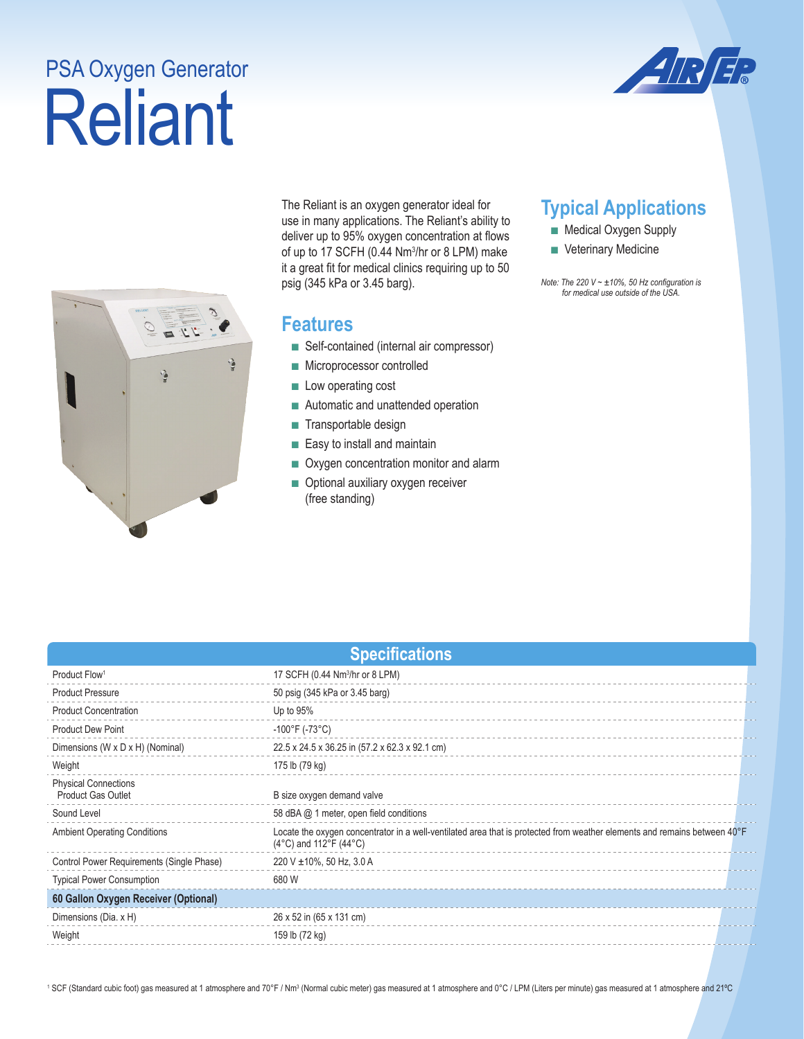# Reliant PSA Oxygen Generator





The Reliant is an oxygen generator ideal for use in many applications. The Reliant's ability to deliver up to 95% oxygen concentration at flows of up to 17 SCFH (0.44 Nm<sup>3</sup>/hr or 8 LPM) make it a great fit for medical clinics requiring up to 50 psig (345 kPa or 3.45 barg).

### **Features**

- Self-contained (internal air compressor)
- Microprocessor controlled
- Low operating cost
- Automatic and unattended operation
- Transportable design
- Easy to install and maintain
- Oxygen concentration monitor and alarm
- Optional auxiliary oxygen receiver (free standing)

# **Typical Applications**

- Medical Oxygen Supply
- Veterinary Medicine

*Note: The 220 V ~ ±10%, 50 Hz configuration is for medical use outside of the USA.* 

| <b>Specifications</b>                                    |                                                                                                                                                                       |  |  |  |
|----------------------------------------------------------|-----------------------------------------------------------------------------------------------------------------------------------------------------------------------|--|--|--|
| Product Flow <sup>1</sup>                                | 17 SCFH (0.44 Nm <sup>3</sup> /hr or 8 LPM)                                                                                                                           |  |  |  |
| <b>Product Pressure</b>                                  | 50 psig (345 kPa or 3.45 barg)                                                                                                                                        |  |  |  |
| <b>Product Concentration</b>                             | Up to $95%$                                                                                                                                                           |  |  |  |
| <b>Product Dew Point</b>                                 | $-100^{\circ}$ F (-73°C)                                                                                                                                              |  |  |  |
| Dimensions (W x D x H) (Nominal)                         | 22.5 x 24.5 x 36.25 in (57.2 x 62.3 x 92.1 cm)                                                                                                                        |  |  |  |
| Weight                                                   | 175 lb (79 kg)                                                                                                                                                        |  |  |  |
| <b>Physical Connections</b><br><b>Product Gas Outlet</b> | B size oxygen demand valve                                                                                                                                            |  |  |  |
| Sound Level                                              | 58 dBA @ 1 meter, open field conditions                                                                                                                               |  |  |  |
| <b>Ambient Operating Conditions</b>                      | Locate the oxygen concentrator in a well-ventilated area that is protected from weather elements and remains between 40°F<br>$(4^{\circ}C)$ and 112°F $(44^{\circ}C)$ |  |  |  |
| Control Power Requirements (Single Phase)                | 220 V ±10%, 50 Hz, 3.0 A                                                                                                                                              |  |  |  |
| <b>Typical Power Consumption</b>                         | 680 W                                                                                                                                                                 |  |  |  |
| 60 Gallon Oxygen Receiver (Optional)                     |                                                                                                                                                                       |  |  |  |
| Dimensions (Dia. x H)                                    | 26 x 52 in (65 x 131 cm)                                                                                                                                              |  |  |  |
| Weight                                                   | 159 lb (72 kg)                                                                                                                                                        |  |  |  |
|                                                          |                                                                                                                                                                       |  |  |  |